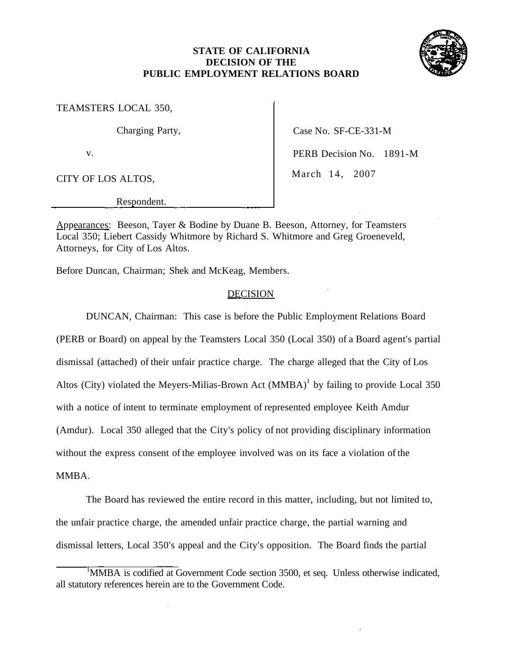# **STATE OF CALIFORNIA DECISION OF THE PUBLIC EMPLOYMENT RELATIONS BOARD**



TEAMSTERS LOCAL 350,

CITY OF LOS ALTOS, March 14, 2007

Charging Party, Case No. SF-CE-331-M

v. PERB Decision No. 1891-M

Respondent.

Appearances: Beeson, Tayer & Bodine by Duane B. Beeson, Attorney, for Teamsters Local 350; Liebert Cassidy Whitmore by Richard S. Whitmore and Greg Groeneveld, Attorneys, for City of Los Altos.

Before Duncan, Chairman; Shek and McKeag, Members.

## DECISION

DUNCAN, Chairman: This case is before the Public Employment Relations Board

(PERB or Board) on appeal by the Teamsters Local 350 (Local 350) of a Board agent's partial dismissal (attached) of their unfair practice charge. The charge alleged that the City of Los Altos (City) violated the Meyers-Milias-Brown Act  $(MMBA)^1$  by failing to provide Local 350 with a notice of intent to terminate employment of represented employee Keith Amdur (Amdur). Local 350 alleged that the City's policy of not providing disciplinary information without the express consent of the employee involved was on its face a violation of the

## MMBA.

The Board has reviewed the entire record in this matter, including, but not limited to, the unfair practice charge, the amended unfair practice charge, the partial warning and dismissal letters, Local 350's appeal and the City's opposition. The Board finds the partial

<sup>&</sup>lt;sup>1</sup>MMBA is codified at Government Code section 3500, et seq. Unless otherwise indicated, all statutory references herein are to the Government Code.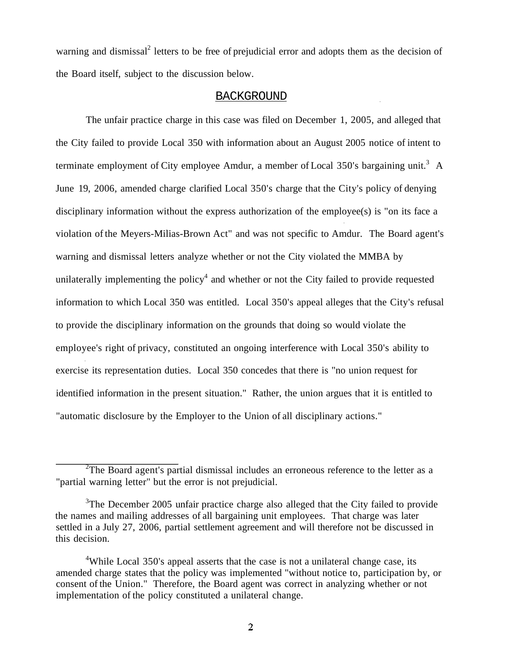warning and dismissal<sup>2</sup> letters to be free of prejudicial error and adopts them as the decision of the Board itself, subject to the discussion below.

### BACKGROUND

The unfair practice charge in this case was filed on December 1, 2005, and alleged that the City failed to provide Local 350 with information about an August 2005 notice of intent to terminate employment of City employee Amdur, a member of Local 350's bargaining unit.<sup>3</sup> A June 19, 2006, amended charge clarified Local 350's charge that the City's policy of denying disciplinary information without the express authorization of the employee(s) is "on its face a violation of the Meyers-Milias-Brown Act" and was not specific to Amdur. The Board agent's warning and dismissal letters analyze whether or not the City violated the MMBA by unilaterally implementing the policy<sup>4</sup> and whether or not the City failed to provide requested information to which Local 350 was entitled. Local 350's appeal alleges that the City's refusal to provide the disciplinary information on the grounds that doing so would violate the employee's right of privacy, constituted an ongoing interference with Local 350's ability to exercise its representation duties. Local 350 concedes that there is "no union request for identified information in the present situation." Rather, the union argues that it is entitled to "automatic disclosure by the Employer to the Union of all disciplinary actions."

 $2$ The Board agent's partial dismissal includes an erroneous reference to the letter as a "partial warning letter" but the error is not prejudicial.

 $3$ The December 2005 unfair practice charge also alleged that the City failed to provide the names and mailing addresses of all bargaining unit employees. That charge was later settled in a July 27, 2006, partial settlement agreement and will therefore not be discussed in this decision.

<sup>&</sup>lt;sup>4</sup>While Local 350's appeal asserts that the case is not a unilateral change case, its amended charge states that the policy was implemented "without notice to, participation by, or consent of the Union." Therefore, the Board agent was correct in analyzing whether or not implementation of the policy constituted a unilateral change.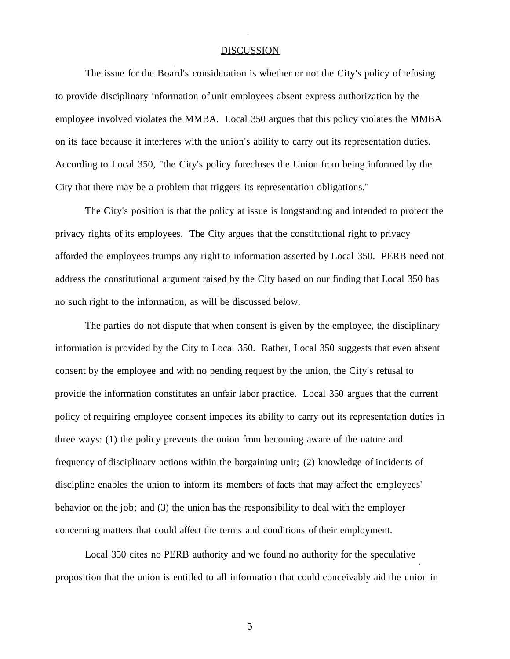## **DISCUSSION**

The issue for the Board's consideration is whether or not the City's policy of refusing to provide disciplinary information of unit employees absent express authorization by the employee involved violates the MMBA. Local 350 argues that this policy violates the MMBA on its face because it interferes with the union's ability to carry out its representation duties. According to Local 350, "the City's policy forecloses the Union from being informed by the City that there may be a problem that triggers its representation obligations."

The City's position is that the policy at issue is longstanding and intended to protect the privacy rights of its employees. The City argues that the constitutional right to privacy afforded the employees trumps any right to information asserted by Local 350. PERB need not address the constitutional argument raised by the City based on our finding that Local 350 has no such right to the information, as will be discussed below.

The parties do not dispute that when consent is given by the employee, the disciplinary information is provided by the City to Local 350. Rather, Local 350 suggests that even absent consent by the employee and with no pending request by the union, the City's refusal to provide the information constitutes an unfair labor practice. Local 350 argues that the current policy of requiring employee consent impedes its ability to carry out its representation duties in three ways: (1) the policy prevents the union from becoming aware of the nature and frequency of disciplinary actions within the bargaining unit; (2) knowledge of incidents of discipline enables the union to inform its members of facts that may affect the employees' behavior on the job; and (3) the union has the responsibility to deal with the employer concerning matters that could affect the terms and conditions of their employment.

Local 350 cites no PERB authority and we found no authority for the speculative proposition that the union is entitled to all information that could conceivably aid the union in

W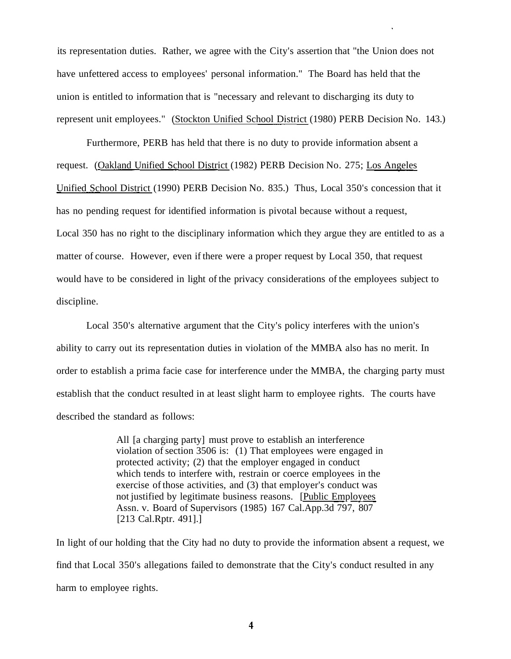its representation duties. Rather, we agree with the City's assertion that "the Union does not have unfettered access to employees' personal information." The Board has held that the union is entitled to information that is "necessary and relevant to discharging its duty to represent unit employees." (Stockton Unified School District (1980) PERB Decision No. 143.)

Furthermore, PERB has held that there is no duty to provide information absent a request. (Oakland Unified School District (1982) PERB Decision No. 275; Los Angeles Unified School District (1990) PERB Decision No. 835.) Thus, Local 350's concession that it has no pending request for identified information is pivotal because without a request, Local 350 has no right to the disciplinary information which they argue they are entitled to as a matter of course. However, even if there were a proper request by Local 350, that request would have to be considered in light of the privacy considerations of the employees subject to discipline.

Local 350's alternative argument that the City's policy interferes with the union's ability to carry out its representation duties in violation of the MMBA also has no merit. In order to establish a prima facie case for interference under the MMBA, the charging party must establish that the conduct resulted in at least slight harm to employee rights. The courts have described the standard as follows:

> All [a charging party] must prove to establish an interference violation of section 3506 is: (1) That employees were engaged in protected activity; (2) that the employer engaged in conduct which tends to interfere with, restrain or coerce employees in the exercise of those activities, and (3) that employer's conduct was not justified by legitimate business reasons. [Public Employees Assn. v. Board of Supervisors (1985) 167 [Cal.App.3d](https://Cal.App.3d) 797, 807 [213 Cal.Rptr. 491].]

In light of our holding that the City had no duty to provide the information absent a request, we find that Local 350's allegations failed to demonstrate that the City's conduct resulted in any harm to employee rights.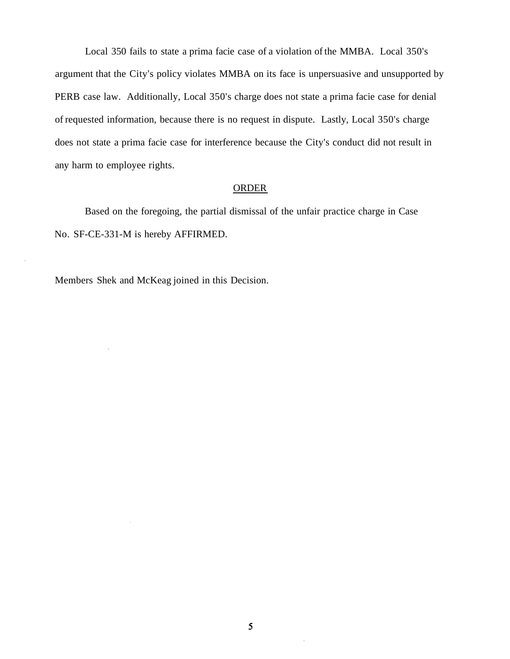Local 350 fails to state a prima facie case of a violation of the MMBA. Local 350's argument that the City's policy violates MMBA on its face is unpersuasive and unsupported by PERB case law. Additionally, Local 350's charge does not state a prima facie case for denial of requested information, because there is no request in dispute. Lastly, Local 350's charge does not state a prima facie case for interference because the City's conduct did not result in any harm to employee rights.

# ORDER

Based on the foregoing, the partial dismissal of the unfair practice charge in Case No. SF-CE-331-M is hereby AFFIRMED.

Members Shek and McKeag joined in this Decision.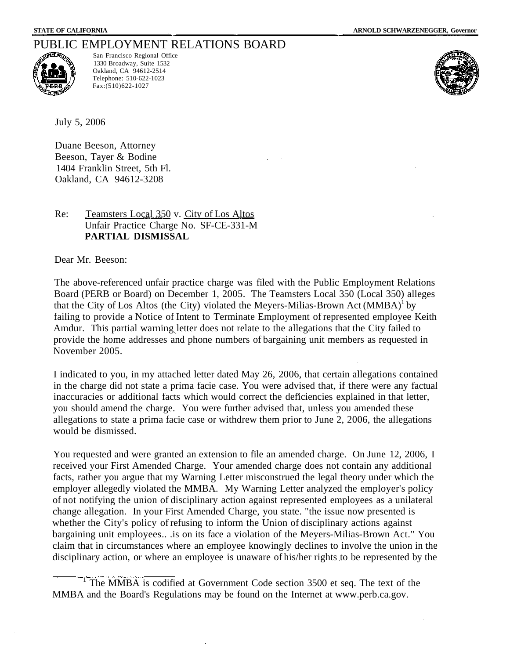# PUBLIC EMPLOYMENT RELATIONS BOARD



San Francisco Regional Office 1330 Broadway, Suite 1532 Oakland, CA 94612-2514 Telephone: 510-622-1023 Fax:(510)622-1027



July 5, 2006

Duane Beeson, Attorney Beeson, Tayer & Bodine 1404 Franklin Street, 5th Fl. Oakland, CA 94612-3208

## Re: Teamsters Local 350 v. City of Los Altos Unfair Practice Charge No. SF-CE-331-M **PARTIAL DISMISSAL**

Dear Mr. Beeson:

The above-referenced unfair practice charge was filed with the Public Employment Relations Board (PERB or Board) on December 1, 2005. The Teamsters Local 350 (Local 350) alleges that the City of Los Altos (the City) violated the Meyers-Milias-Brown Act  $(MMBA)^{1}$  by failing to provide a Notice of Intent to Terminate Employment of represented employee Keith Amdur. This partial warning letter does not relate to the allegations that the City failed to provide the home addresses and phone numbers of bargaining unit members as requested in November 2005.

I indicated to you, in my attached letter dated May 26, 2006, that certain allegations contained in the charge did not state a prima facie case. You were advised that, if there were any factual inaccuracies or additional facts which would correct the deficiencies explained in that letter, you should amend the charge. You were further advised that, unless you amended these allegations to state a prima facie case or withdrew them prior to June 2, 2006, the allegations would be dismissed.

You requested and were granted an extension to file an amended charge. On June 12, 2006, I received your First Amended Charge. Your amended charge does not contain any additional facts, rather you argue that my Warning Letter misconstrued the legal theory under which the employer allegedly violated the MMBA. My Warning Letter analyzed the employer's policy of not notifying the union of disciplinary action against represented employees as a unilateral change allegation. In your First Amended Charge, you state. "the issue now presented is whether the City's policy of refusing to inform the Union of disciplinary actions against bargaining unit employees.. .is on its face a violation of the Meyers-Milias-Brown Act." You claim that in circumstances where an employee knowingly declines to involve the union in the disciplinary action, or where an employee is unaware of his/her rights to be represented by the

<sup>1</sup> The MMBA is codified at Government Code section 3500 et seq. The text of the MMBA and the Board's Regulations may be found on the Internet at <www.perb.ca.gov>.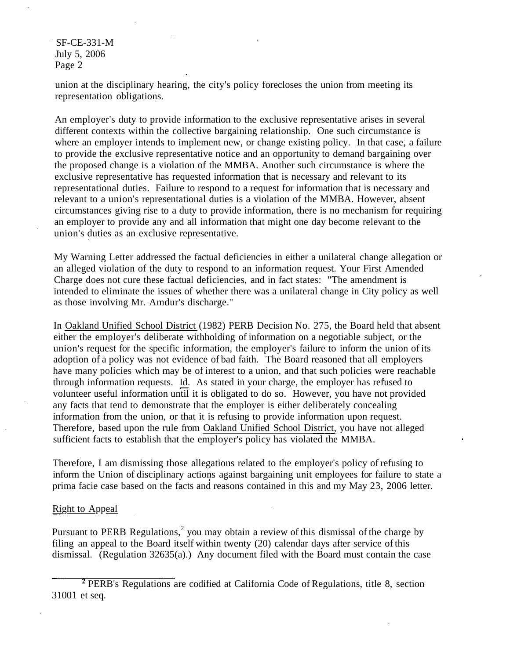SF-CE-331-M July 5, 2006 Page 2

union at the disciplinary hearing, the city's policy forecloses the union from meeting its representation obligations.

An employer's duty to provide information to the exclusive representative arises in several different contexts within the collective bargaining relationship. One such circumstance is where an employer intends to implement new, or change existing policy. In that case, a failure to provide the exclusive representative notice and an opportunity to demand bargaining over the proposed change is a violation of the MMBA. Another such circumstance is where the exclusive representative has requested information that is necessary and relevant to its representational duties. Failure to respond to a request for information that is necessary and relevant to a union's representational duties is a violation of the MMBA. However, absent circumstances giving rise to a duty to provide information, there is no mechanism for requiring an employer to provide any and all information that might one day become relevant to the union's duties as an exclusive representative.

My Warning Letter addressed the factual deficiencies in either a unilateral change allegation or an alleged violation of the duty to respond to an information request. Your First Amended Charge does not cure these factual deficiencies, and in fact states: "The amendment is intended to eliminate the issues of whether there was a unilateral change in City policy as well as those involving Mr. Amdur's discharge."

In Oakland Unified School District (1982) PERB Decision No. 275, the Board held that absent either the employer's deliberate withholding of information on a negotiable subject, or the union's request for the specific information, the employer's failure to inform the union of its adoption of a policy was not evidence of bad faith. The Board reasoned that all employers have many policies which may be of interest to a union, and that such policies were reachable through information requests.  $\underline{Id}$ . As stated in your charge, the employer has refused to volunteer useful information until it is obligated to do so. However, you have not provided any facts that tend to demonstrate that the employer is either deliberately concealing information from the union, or that it is refusing to provide information upon request. Therefore, based upon the rule from Oakland Unified School District, you have not alleged sufficient facts to establish that the employer's policy has violated the MMBA.

Therefore, I am dismissing those allegations related to the employer's policy of refusing to inform the Union of disciplinary actions against bargaining unit employees for failure to state a prima facie case based on the facts and reasons contained in this and my May 23, 2006 letter.

# **Right to Appeal**

Pursuant to PERB Regulations,<sup>2</sup> you may obtain a review of this dismissal of the charge by filing an appeal to the Board itself within twenty (20) calendar days after service of this dismissal. (Regulation 32635(a).) Any document filed with the Board must contain the case

<sup>&</sup>lt;sup>2</sup> PERB's Regulations are codified at California Code of Regulations, title 8, section 31001 et seq.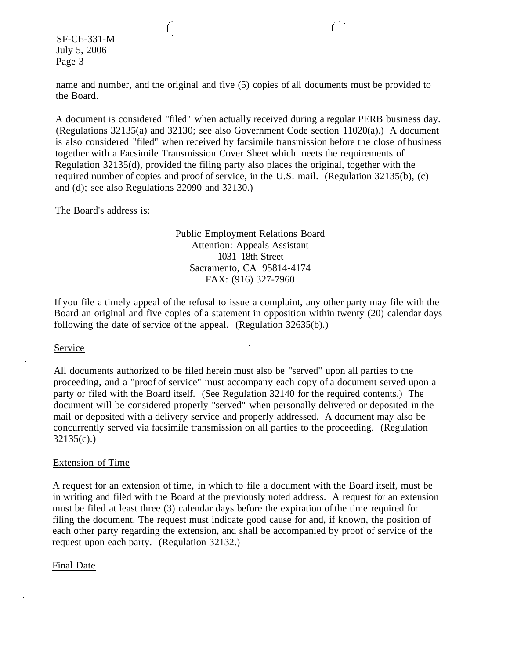SF-CE-331-M July 5, 2006 Page 3

name and number, and the original and five (5) copies of all documents must be provided to the Board.

 $\binom{1}{1}$ 

A document is considered "filed" when actually received during a regular PERB business day. (Regulations 32135(a) and 32130; see also Government Code section 11020(a).) A document is also considered "filed" when received by facsimile transmission before the close of business together with a Facsimile Transmission Cover Sheet which meets the requirements of Regulation 32135(d), provided the filing party also places the original, together with the required number of copies and proof of service, in the U.S. mail. (Regulation 32135(b), (c) and (d); see also Regulations 32090 and 32130.)

The Board's address is:

## Public Employment Relations Board Attention: Appeals Assistant 1031 18th Street Sacramento, CA 95814-4174 FAX: (916) 327-7960

If you file a timely appeal of the refusal to issue a complaint, any other party may file with the Board an original and five copies of a statement in opposition within twenty (20) calendar days following the date of service of the appeal. (Regulation 32635(b).)

#### **Service**

All documents authorized to be filed herein must also be "served" upon all parties to the proceeding, and a "proof of service" must accompany each copy of a document served upon a party or filed with the Board itself. (See Regulation 32140 for the required contents.) The document will be considered properly "served" when personally delivered or deposited in the mail or deposited with a delivery service and properly addressed. A document may also be concurrently served via facsimile transmission on all parties to the proceeding. (Regulation 32135(c).)

## Extension of Time

A request for an extension of time, in which to file a document with the Board itself, must be in writing and filed with the Board at the previously noted address. A request for an extension must be filed at least three (3) calendar days before the expiration of the time required for filing the document. The request must indicate good cause for and, if known, the position of each other party regarding the extension, and shall be accompanied by proof of service of the request upon each party. (Regulation 32132.)

## Final Date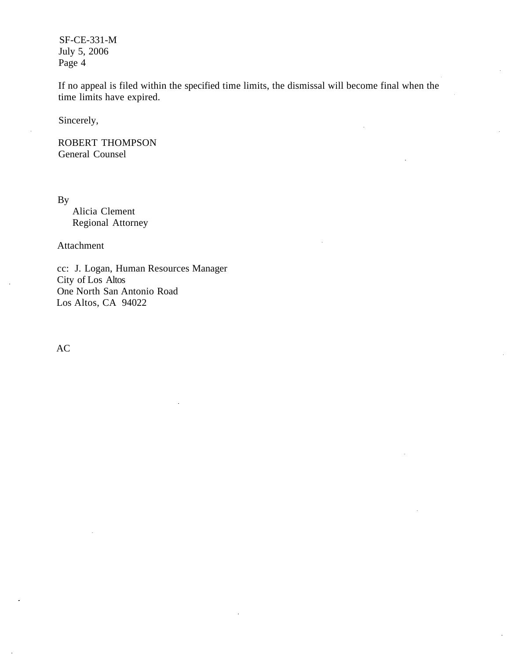SF-CE-331-M July 5, 2006 Page 4

If no appeal is filed within the specified time limits, the dismissal will become final when the time limits have expired.

Sincerely,

ROBERT THOMPSON General Counsel

By

Alicia Clement Regional Attorney

Attachment

cc: J. Logan, Human Resources Manager City of Los Altos One North San Antonio Road Los Altos, CA 94022

AC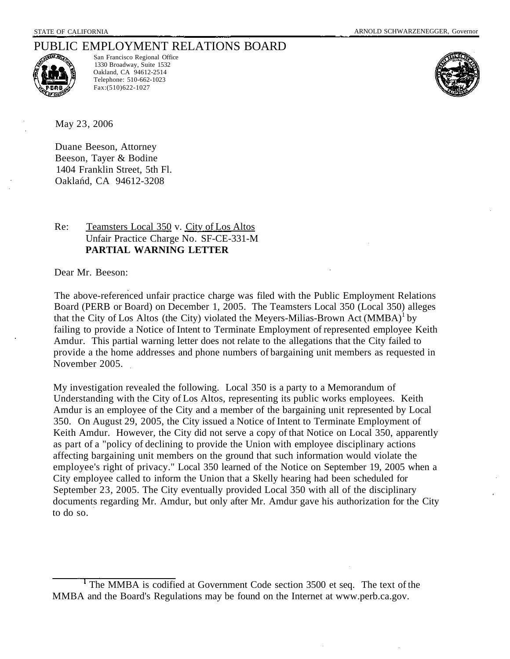# PUBLIC EMPLOYMENT RELATIONS BOARD



San Francisco Regional Office 1330 Broadway, Suite 1532 Oakland, CA 94612-2514 Telephone: 510-662-1023 Fax:(510)622-1027



May 23, 2006

Duane Beeson, Attorney Beeson, Tayer & Bodine 1404 Franklin Street, 5th Fl. Oakland, CA 94612-3208

# Re: Teamsters Local 350 v. City of Los Altos Unfair Practice Charge No. SF-CE-331-M **PARTIAL WARNING LETTER**

Dear Mr. Beeson:

The above-referenced unfair practice charge was filed with the Public Employment Relations Board (PERB or Board) on December 1, 2005. The Teamsters Local 350 (Local 350) alleges that the City of Los Altos (the City) violated the Meyers-Milias-Brown Act  $(MMBA)^{1}$  by failing to provide a Notice of Intent to Terminate Employment of represented employee Keith Amdur. This partial warning letter does not relate to the allegations that the City failed to provide a the home addresses and phone numbers of bargaining unit members as requested in November 2005.

My investigation revealed the following. Local 350 is a party to a Memorandum of Understanding with the City of Los Altos, representing its public works employees. Keith Amdur is an employee of the City and a member of the bargaining unit represented by Local 350. On August 29, 2005, the City issued a Notice of Intent to Terminate Employment of Keith Amdur. However, the City did not serve a copy of that Notice on Local 350, apparently as part of a "policy of declining to provide the Union with employee disciplinary actions affecting bargaining unit members on the ground that such information would violate the employee's right of privacy." Local 350 learned of the Notice on September 19, 2005 when a City employee called to inform the Union that a Skelly hearing had been scheduled for September 23, 2005. The City eventually provided Local 350 with all of the disciplinary documents regarding Mr. Amdur, but only after Mr. Amdur gave his authorization for the City to do so.

<sup>&</sup>lt;sup>1</sup> The MMBA is codified at Government Code section 3500 et seq. The text of the MMBA and the Board's Regulations may be found on the Internet at <www.perb.ca.gov>.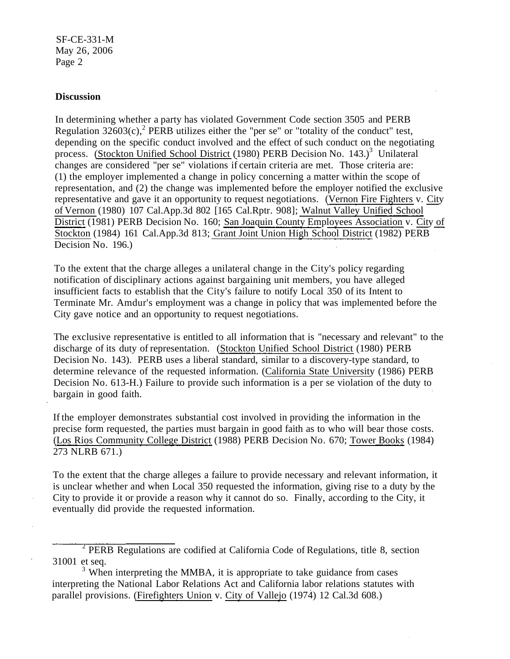SF-CE-331-M May 26, 2006 Page 2

## **Discussion**

In determining whether a party has violated Government Code section 3505 and PERB Regulation  $32603(c)$ , PERB utilizes either the "per se" or "totality of the conduct" test, depending on the specific conduct involved and the effect of such conduct on the negotiating process. (Stockton Unified School District (1980) PERB Decision No. 143.)<sup>3</sup> Unilateral changes are considered "per se" violations if certain criteria are met. Those criteria are: (1) the employer implemented a change in policy concerning a matter within the scope of representation, and (2) the change was implemented before the employer notified the exclusive representative and gave it an opportunity to request negotiations. (Vernon Fire Fighters v. City of Vernon (1980) 107 [Cal.App.3d](https://Cal.App.3d) 802 [165 Cal.Rptr. 908]; Walnut Valley Unified School District (1981) PERB Decision No. 160; San Joaquin County Employees Association v. City of Stockton (1984) 161 [Cal.App.3d](https://Cal.App.3d) 813; Grant Joint Union High School District (1982) PERB Decision No. 196.)

To the extent that the charge alleges a unilateral change in the City's policy regarding notification of disciplinary actions against bargaining unit members, you have alleged insufficient facts to establish that the City's failure to notify Local 350 of its Intent to Terminate Mr. Amdur's employment was a change in policy that was implemented before the City gave notice and an opportunity to request negotiations.

The exclusive representative is entitled to all information that is "necessary and relevant" to the discharge of its duty of representation. (Stockton Unified School District (1980) PERB Decision No. 143). PERB uses a liberal standard, similar to a discovery-type standard, to determine relevance of the requested information. (California State University (1986) PERB Decision No. 613-H.) Failure to provide such information is a per se violation of the duty to bargain in good faith.

If the employer demonstrates substantial cost involved in providing the information in the precise form requested, the parties must bargain in good faith as to who will bear those costs. (Los Rios Community College District (1988) PERB Decision No. 670; Tower Books (1984) 273 NLRB 671.)

To the extent that the charge alleges a failure to provide necessary and relevant information, it is unclear whether and when Local 350 requested the information, giving rise to a duty by the City to provide it or provide a reason why it cannot do so. Finally, according to the City, it eventually did provide the requested information.

<sup>&</sup>lt;sup>2</sup> PERB Regulations are codified at California Code of Regulations, title 8, section 31001 et seq. 3

 $3$  When interpreting the MMBA, it is appropriate to take guidance from cases interpreting the National Labor Relations Act and California labor relations statutes with parallel provisions. (Firefighters Union v. City of Vallejo (1974) 12 Cal.3d 608.)